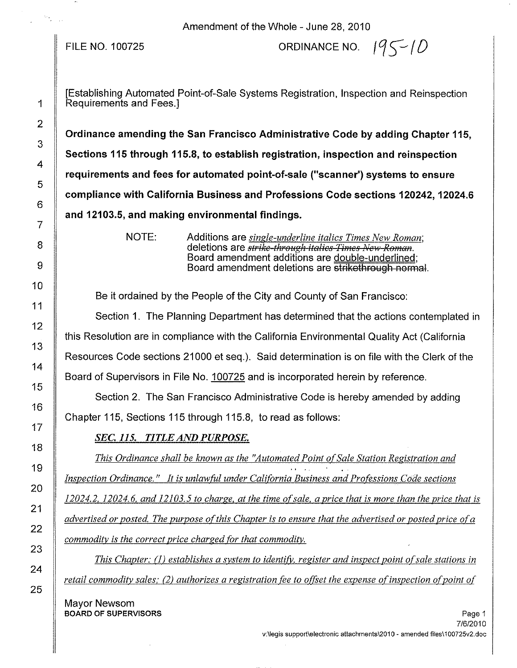Amendment of the Whole - June 28, 2010

#### FILE NO. 100725

ORDINANCE NO.  $195 - 10$ 

Ordinance amending the San Francisco Administrative Code by adding Chapter 115, Sections 115 through 115.8, to establish registration, inspection and reinspection requirements and fees for automated point-of-sale ("scanner') systems to ensure compliance with California Business and Professions Code sections 120242, 12024.6 and 12103.5, and making environmental findings.

NOTE:

Additions are *single-underline italics Times New Roman;* deletions are *strike-through italics Times New Roman*. Board amendment additions are double-underlined; Board amendment deletions are strikethrough normal.

Be it ordained by the People of the City and County of San Francisco:

Section 1. The Planning Department has determined that the actions contemplated in this Resolution are in compliance with the California Environmental Quality Act (California Resources Code sections 21000 et seq.). Said determination is on file with the Clerk of the Board of Supervisors in File No. 100725 and is incorporated herein by reference.

Section 2. The San Francisco Administrative Code is hereby amended by adding Chapter 115, Sections 115 through 115.8, to read as follows:

# *SEC.* 115. *TITLE AND PURPOSE.*

*This Ordinance shall be known as the "Automated Point ofSale Station Registration and*  $\mathbf{r}$  is a set of  $\mathbf{r}$ *Inspection Ordinance." It is unlawful under California Business and Professions Code sections*  $12024.2$ ,  $12024.6$ , and  $12103.5$  to charge, at the time of sale, a price that is more than the price that is *advertised or posted. The purpose o(this Chapter is to ensure that the advertised or posted price ofa commodity is the correct price charged for that commodity'*

*This Chapter;* 0) *establishes a system to identify, register and inspect point ofsale stations in retail commodity sales:* (2) *authorizes a registration fee to offSet the expense ofinspection orpoint of*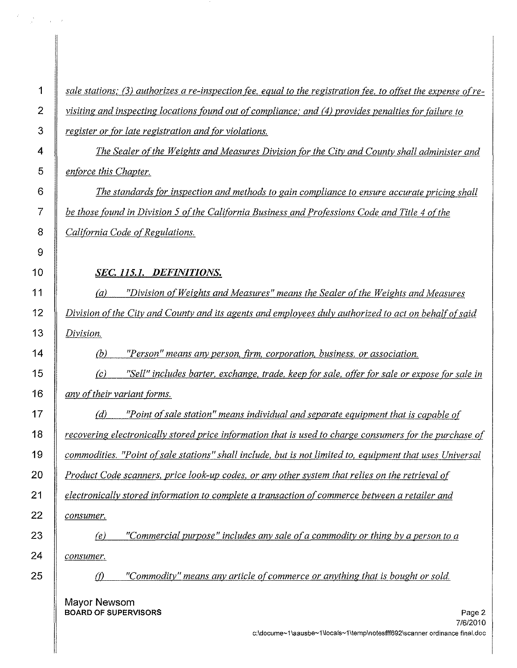| 1              | sale stations; (3) authorizes a re-inspection fee, equal to the registration fee, to offset the expense of re- |  |  |
|----------------|----------------------------------------------------------------------------------------------------------------|--|--|
| $\overline{2}$ | visiting and inspecting locations found out of compliance; and (4) provides penalties for failure to           |  |  |
| 3              | register or for late registration and for violations.                                                          |  |  |
| 4              | The Sealer of the Weights and Measures Division for the City and County shall administer and                   |  |  |
| 5              | enforce this Chapter.                                                                                          |  |  |
| 6              | The standards for inspection and methods to gain compliance to ensure accurate pricing shall                   |  |  |
| 7              | be those found in Division 5 of the California Business and Professions Code and Title 4 of the                |  |  |
| 8              | California Code of Regulations.                                                                                |  |  |
| 9              |                                                                                                                |  |  |
| 10             | SEC. 115.1. DEFINITIONS.                                                                                       |  |  |
| 11             | "Division of Weights and Measures" means the Sealer of the Weights and Measures<br>(a)                         |  |  |
| 12             | Division of the City and County and its agents and employees duly authorized to act on behalf of said          |  |  |
| 13             | Division.                                                                                                      |  |  |
| 14             | "Person" means any person, firm, corporation, business, or association.<br>(b)                                 |  |  |
| 15             | (c)<br>"Sell" includes barter, exchange, trade, keep for sale, offer for sale or expose for sale in            |  |  |
| 16             | any of their variant forms.                                                                                    |  |  |
| 17             | "Point of sale station" means individual and separate equipment that is capable of<br>(d)                      |  |  |
| 18             | recovering electronically stored price information that is used to charge consumers for the purchase of        |  |  |
| 19             | commodities. "Point of sale stations" shall include, but is not limited to, equipment that uses Universal      |  |  |
| 20             | Product Code scanners, price look-up codes, or any other system that relies on the retrieval of                |  |  |
| 21             | electronically stored information to complete a transaction of commerce between a retailer and                 |  |  |
| 22             | consumer.                                                                                                      |  |  |
| 23             | "Commercial purpose" includes any sale of a commodity or thing by a person to a<br>(e)                         |  |  |
| 24             | consumer.                                                                                                      |  |  |
| 25             | (f)<br>"Commodity" means any article of commerce or anything that is bought or sold.                           |  |  |
|                | Mayor Newsom<br><b>BOARD OF SUPERVISORS</b><br>Page 2<br>7/6/2010                                              |  |  |

**c:\docume....1\aausbe-1 \[ocals-1 \temp\notesfff692\scanner 0rd inance fina I.doc**

 $\frac{d}{dt} \left( \frac{d}{dt} \right) = \frac{1}{2} \left( \frac{d}{dt} \right) \frac{d}{dt}$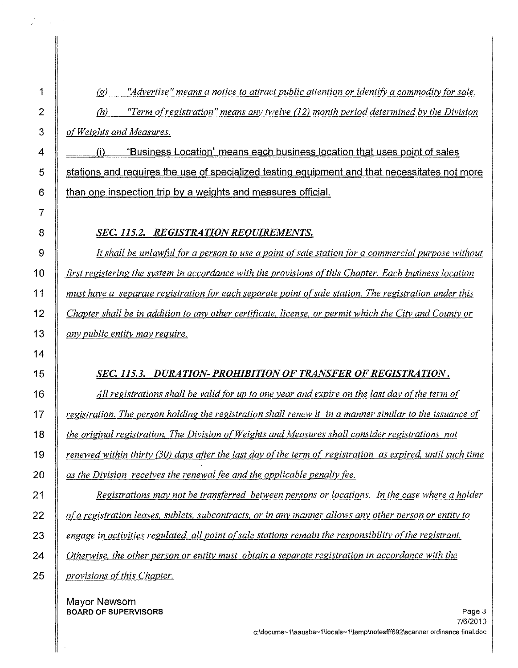*"Advertise" means a notice to attract public attention or identify a commodity fOr sale.*  $(q)$  $(h)$ *"Term ofregistration* "*means any twelve (2) month period determined by the Division* 3 *ofWeights and Measures.*

4 Ill component in the "Business Location" means each business location that uses point of sales 5 Sulferm stations and requires the use of specialized testing equipment and that necessitates not more  $6 \parallel$  than one inspection trip by a weights and measures official.

## 8 **SEC.** 115.2. *REGISTRATION REQUIREMENTS.*

 $\parallel$  It shall be unlawful for a person to use a point of sale station for a commercial purpose without *first registering the system in accordance with the provisions ofthis Chapter. Each business location must* have a separate registration for each separate point of sale station. The registration under this 12 Chapter shall be in addition to any other certificate, license, or permit which the City and County or *any public entity may require.*

# *15 SEC. lI5.3. DURATION- PROHIBITION OF TRANSFER OFREGISTRATION.*

 $\parallel$  All registrations shall be valid for up to one year and expire on the last day of the term of  $\parallel$  registration. The person holding the registration shall renew it in a manner similar to the issuance of *the original registration. The Division ofWeights and Measures shall consider registrations not* 19 | renewed within thirty (30) days after the last day of the term of registration as expired, until such time *as the Division receives the renewal fee and the applicable penalty fee.*

 *Registrations may not be transferred between persons or locations. In the case where a holder ofa registration leases, sublets, subcontracts, or in any manner allows any other person or entity to engage in activities regulated, all point ofsale stations remain the responsibility ofthe registrant. Otherwise, the other person or entity must obtain a separate registration in accordance with the provisions ofthis Chapter.*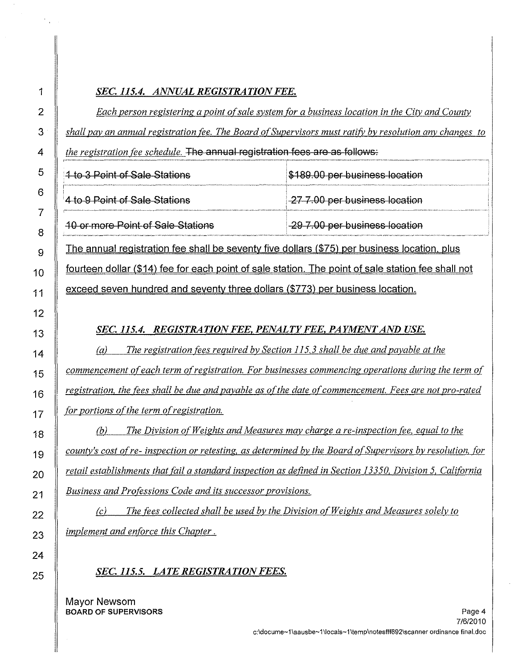#### *SEC.* 115.4. *ANNUAL REGISTRATIONFEE.*

 *Each person registering a point ofsale system for a business location in the City and County shall pay an annual registration tee. The Board ofSupervisors must ratifj; by resolution any changes to the registration tee schedule.* The annual registration fees are as fellows:

| 5  | to 3 Point of Sale Stations                                                                        | \$189.00 per business location |  |
|----|----------------------------------------------------------------------------------------------------|--------------------------------|--|
| 6  | 4 to 9 Point of Sale Stations                                                                      | 27 7.00 per business location  |  |
| 8  | <b>10-or-more Point-of-Sale-Stations</b>                                                           | -29-7.00 per business location |  |
| 9  | The annual registration fee shall be seventy five dollars (\$75) per business location, plus       |                                |  |
| 10 | fourteen dollar (\$14) fee for each point of sale station. The point of sale station fee shall not |                                |  |
| 11 | exceed seven hundred and seventy three dollars (\$773) per business location.                      |                                |  |

*SEC.* 115.4. *REGISTRATIONFEE. PENALTY FEE. PAYMENTAND USE.*

 *(ai The registration tees required by Section* 115.3 *shall be due and payable at the commencement ofeach term ofregistration. For businesses commencing operations during the term of registration. the tees shall be due and payable as ofthe date ofcommencement. Fees are not pro-rated* **for** portions of the term of registration.

 *(bi The Division ofWeights and Measures may charge are-inspection tee. equal to the county's cost ofre- inspection or retesting, as determined by the Board ofSupervisors by resolution. for retail establishments that fail a standard inspection as defined in Section 13350, Division* 5. *California Business and Protessions Code and its successor provisions.*

 *(ci The tees collected shall be used bv the Division ofWeights and Measures solely to implement and enforce this Chapter.*

# **SEC. 115.5. LATE REGISTRATION FEES.**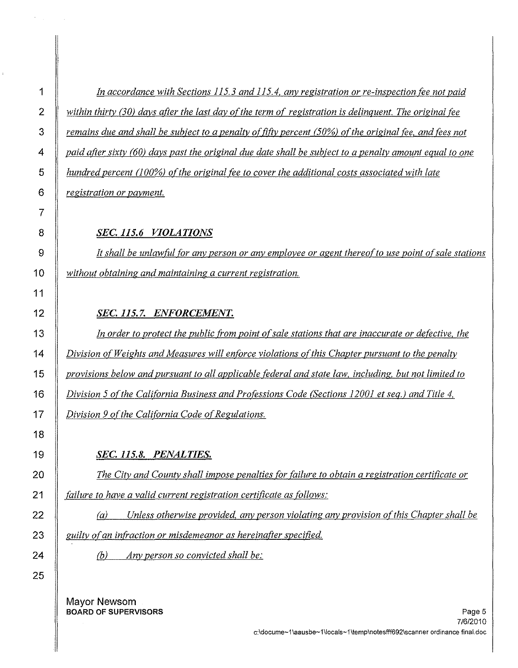*In accordance with Sections 115.3 and 115.4, any registration or re-inspection fee not paid* 2 within thirty (30) days after the last day of the term of registration is delinguent. The original fee 3 | remains due and shall be subject to a penalty of fifty percent (50%) of the original fee, and fees not 4 | paid after sixty (60) days past the original due date shall be subject to a penalty amount equal to one *hundred percent (lOO%) ofthe original tee to cover the additional costs associated with late registration or payment,*

#### *SEC.* **115.6** *VIOLATIONS*

 *It shall be unlawful fOr any person or any employee or agent thereofto use point ofsale stations without obtaining and maintaining a current registration.*

#### *SEC.* 115.7. *ENFORCEMENT.*

 *In order to protect the public trom point ofsale stations that are inaccurate or detective, the Division of Weights and Measures will enforce violations of this Chapter pursuant to the penalty provisions below and pursuant to all applicable tederal and state law, including, but not limited to Division* 5 *ofthe California Business and Protessions Code (Sections 12001 et seq.) and Title 4. Division 9 of the California Code of Regulations.* 

## *SEC.* 115.8. *PENALTIES.*

 *The City and County shall impose penalties for failure to obtain a registration certificate or failure to have a valid current registration certificate as follows:*

 (a) *Unless otherwise provided, any person violating any provision ofthis Chapter shall be guilty ofan intraction or misdemeanor as hereinafter specified*

*(b) Any person so convicted shall be:*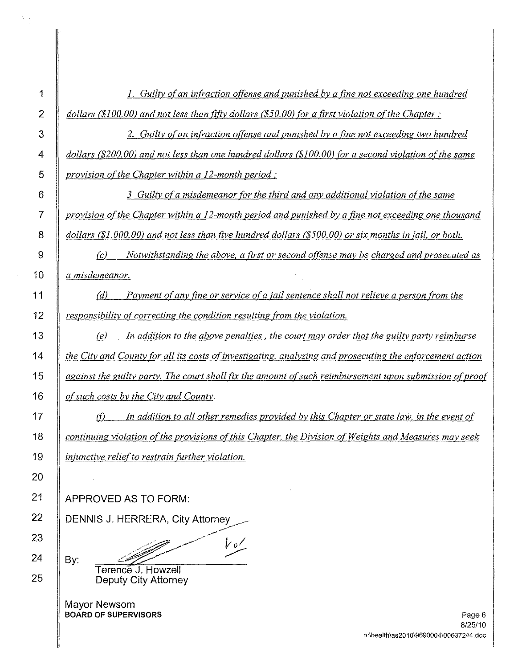| 1              | Guilty of an infraction offense and punished by a fine not exceeding one hundred                         |  |  |
|----------------|----------------------------------------------------------------------------------------------------------|--|--|
| $\overline{2}$ | dollars (\$100.00) and not less than fifty dollars (\$50.00) for a first violation of the Chapter;       |  |  |
| 3              | 2. Guilty of an infraction offense and punished by a fine not exceeding two hundred                      |  |  |
| 4              | dollars (\$200.00) and not less than one hundred dollars (\$100.00) for a second violation of the same   |  |  |
| 5              | provision of the Chapter within a 12-month period:                                                       |  |  |
| 6              | 3 Guilty of a misdemeanor for the third and any additional violation of the same                         |  |  |
| 7              | provision of the Chapter within a 12-month period and punished by a fine not exceeding one thousand      |  |  |
| 8              | $dollars (1,000.00)$ and not less than five hundred dollars $(1,000)$ or six months in jail, or both.    |  |  |
| 9              | Notwithstanding the above, a first or second offense may be charged and prosecuted as<br>(c)             |  |  |
| 10             | a misdemeanor.                                                                                           |  |  |
| 11             | Payment of any fine or service of a jail sentence shall not relieve a person from the<br>(d)             |  |  |
| 12             | responsibility of correcting the condition resulting from the violation.                                 |  |  |
| 13             | In addition to the above penalties, the court may order that the guilty party reimburse<br>(e)           |  |  |
| 14             | the City and County for all its costs of investigating, analyzing and prosecuting the enforcement action |  |  |
| 15             | against the guilty party. The court shall fix the amount of such reimbursement upon submission of proof  |  |  |
| 16             | of such costs by the City and County                                                                     |  |  |
| 17             | In addition to all other remedies provided by this Chapter or state law, in the event of<br>( f )        |  |  |
| 18             | continuing violation of the provisions of this Chapter, the Division of Weights and Measures may seek    |  |  |
| 19             | injunctive relief to restrain further violation.                                                         |  |  |
| 20             |                                                                                                          |  |  |
| 21             | APPROVED AS TO FORM:                                                                                     |  |  |
| 22             | <b>DENNIS J. HERRERA, City Attorney</b>                                                                  |  |  |
| 23             |                                                                                                          |  |  |
| 24             | By:<br>Terence J. Howzell<br>Deputy City Attorney                                                        |  |  |
| 25             |                                                                                                          |  |  |
|                | Mayor Newsom                                                                                             |  |  |
|                | <b>BOARD OF SUPERVISORS</b><br>Page 6<br>6/25/10                                                         |  |  |

 $\label{eq:1} \left\langle \nabla \phi_{\mu} \right\rangle_{\mu} = \left\langle \nabla \phi_{\mu} \right\rangle_{\mu} = \left\langle \nabla \phi_{\mu} \right\rangle_{\mu}$ 

 $\overline{\phantom{a}}$ 

n:\health\as2010\9690004\00637244.doc